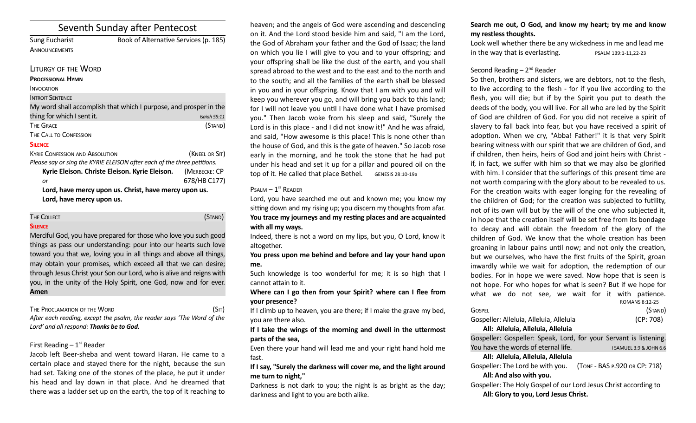# Seventh Sunday after Pentecost

| Sung Eucharist       | Book of Alternative Services (p. 185) |
|----------------------|---------------------------------------|
| <b>ANNOUNCEMENTS</b> |                                       |

### LITURGY OF THE WORD

### **PROCESSIONAL HYMN**

| <b>INTROIT SENTENCE</b> |  |  |
|-------------------------|--|--|
|                         |  |  |

| My word shall accomplish that which I purpose, and prosper in the |              |
|-------------------------------------------------------------------|--------------|
| thing for which I sent it.                                        | Isaiah 55:11 |
| The Grace                                                         | (STAND)      |
| The Call to Confession                                            |              |

### **SILENCE**

KYRIE CONFESSION AND ABSOLUTION *KYRIE* (KNEEL OR SIT) *Please say or sing the KYRIE ELEISON after each of the three petitions.* **Kyrie Eleison. Christe Eleison. Kyrie Eleison.** (MERBECKE: CP

*or* 678/HB C177) **Lord, have mercy upon us. Christ, have mercy upon us. Lord, have mercy upon us.**

THE COLLECT **COLLECT (STAND)** 

# **SILENCE**

Merciful God, you have prepared for those who love you such good things as pass our understanding: pour into our hearts such love toward you that we, loving you in all things and above all things, may obtain your promises, which exceed all that we can desire; through Jesus Christ your Son our Lord, who is alive and reigns with you, in the unity of the Holy Spirit, one God, now and for ever. **Amen**

THE PROCLAMATION OF THE WORD (SIT)

*Afer each reading, except the psalm, the reader says 'The Word of the Lord' and all respond: Thanks be to God.* 

# First Reading  $-1<sup>st</sup>$  Reader

Jacob left Beer-sheba and went toward Haran. He came to a certain place and stayed there for the night, because the sun had set. Taking one of the stones of the place, he put it under his head and lay down in that place. And he dreamed that there was a ladder set up on the earth, the top of it reaching to

heaven; and the angels of God were ascending and descending on it. And the Lord stood beside him and said, "I am the Lord, the God of Abraham your father and the God of Isaac; the land on which you lie I will give to you and to your ofspring; and your offspring shall be like the dust of the earth, and you shall spread abroad to the west and to the east and to the north and to the south; and all the families of the earth shall be blessed in you and in your offspring. Know that I am with you and will keep you wherever you go, and will bring you back to this land; for I will not leave you until I have done what I have promised you." Then Jacob woke from his sleep and said, "Surely the Lord is in this place - and I did not know it!" And he was afraid, and said, "How awesome is this place! This is none other than the house of God, and this is the gate of heaven." So Jacob rose early in the morning, and he took the stone that he had put under his head and set it up for a pillar and poured oil on the top of it. He called that place Bethel. GENESIS 28:10-19a

### $P$ SALM  $-1$ <sup>ST</sup> READER

Lord, you have searched me out and known me; you know my sitting down and my rising up; you discern my thoughts from afar. **You trace my journeys and my restng places and are acquainted with all my ways.**

Indeed, there is not a word on my lips, but you, O Lord, know it altogether.

**You press upon me behind and before and lay your hand upon me.**

Such knowledge is too wonderful for me; it is so high that I cannot attain to it.

**Where can I go then from your Spirit? where can I fee from your presence?**

If I climb up to heaven, you are there; if I make the grave my bed, you are there also.

## **If I take the wings of the morning and dwell in the utermost parts of the sea,**

Even there your hand will lead me and your right hand hold me fast.

**If I say, "Surely the darkness will cover me, and the light around me turn to night,"**

Darkness is not dark to you; the night is as bright as the day; darkness and light to you are both alike.

# **Search me out, O God, and know my heart; try me and know my restless thoughts.**

Look well whether there be any wickedness in me and lead me in the way that is everlasting.  $P$ SALM 139:1-11,22-23

## Second Reading  $-2^{nd}$  Reader

So then, brothers and sisters, we are debtors, not to the fesh, to live according to the fesh - for if you live according to the fesh, you will die; but if by the Spirit you put to death the deeds of the body, you will live. For all who are led by the Spirit of God are children of God. For you did not receive a spirit of slavery to fall back into fear, but you have received a spirit of adoption. When we cry, "Abba! Father!" it is that very Spirit bearing witness with our spirit that we are children of God, and if children, then heirs, heirs of God and joint heirs with Christ if, in fact, we suffer with him so that we may also be glorified with him. I consider that the sufferings of this present time are not worth comparing with the glory about to be revealed to us. For the creation waits with eager longing for the revealing of the children of God; for the creation was subjected to futility, not of its own will but by the will of the one who subjected it, in hope that the creation itself will be set free from its bondage to decay and will obtain the freedom of the glory of the children of God. We know that the whole creation has been groaning in labour pains until now; and not only the creation, but we ourselves, who have the first fruits of the Spirit, groan inwardly while we wait for adoption, the redemption of our bodies. For in hope we were saved. Now hope that is seen is not hope. For who hopes for what is seen? But if we hope for what we do not see, we wait for it with patience. ROMANS 8:12-25

| <b>GOSPEL</b>                           | (Stand)   |
|-----------------------------------------|-----------|
| Gospeller: Alleluia, Alleluia, Alleluia | (CP: 708) |
| All: Alleluia, Alleluia, Alleluia       |           |

Gospeller: Gospeller: Speak, Lord, for your Servant is listening. You have the words of eternal life. I I SAMUEL 3.9 & JOHN 6.6 **All: Alleluia, Alleluia, Alleluia** Gospeller: The Lord be with you. (TONE - BAS P.920 OR CP: 718) **All: And also with you.**  Gospeller: The Holy Gospel of our Lord Jesus Christ according to

**All: Glory to you, Lord Jesus Christ.**